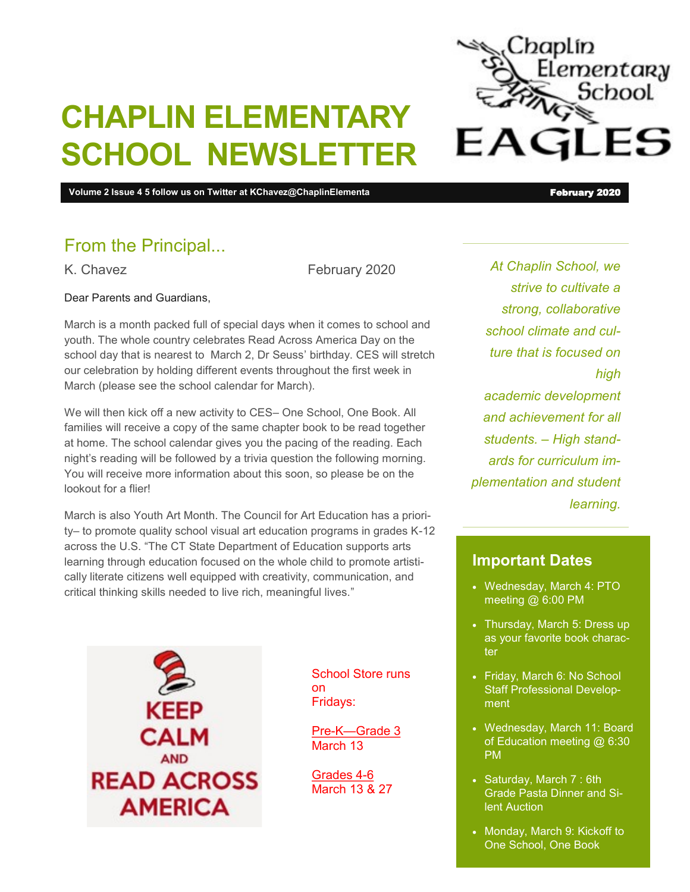

# **CHAPLIN ELEMENTARY SCHOOL NEWSLETTER**

**Volume 2 Issue 4 5 follow us on Twitter at KChavez@ChaplinElementa** February 2020 **February 2020** 

#### From the Principal...

K. Chavez **February 2020** 

Dear Parents and Guardians,

March is a month packed full of special days when it comes to school and youth. The whole country celebrates Read Across America Day on the school day that is nearest to March 2, Dr Seuss' birthday. CES will stretch our celebration by holding different events throughout the first week in March (please see the school calendar for March).

We will then kick off a new activity to CES– One School, One Book. All families will receive a copy of the same chapter book to be read together at home. The school calendar gives you the pacing of the reading. Each night's reading will be followed by a trivia question the following morning. You will receive more information about this soon, so please be on the lookout for a flier!

March is also Youth Art Month. The Council for Art Education has a priority– to promote quality school visual art education programs in grades K-12 across the U.S. "The CT State Department of Education supports arts learning through education focused on the whole child to promote artistically literate citizens well equipped with creativity, communication, and critical thinking skills needed to live rich, meaningful lives."

*At Chaplin School, we strive to cultivate a strong, collaborative school climate and culture that is focused on high academic development and achievement for all students. – High standards for curriculum implementation and student learning.*

#### **Important Dates**

- Wednesday, March 4: PTO meeting @ 6:00 PM
- Thursday, March 5: Dress up as your favorite book character
- Friday, March 6: No School Staff Professional Development
- Wednesday, March 11: Board of Education meeting @ 6:30 PM
- Saturday, March 7 : 6th Grade Pasta Dinner and Silent Auction
- Monday, March 9: Kickoff to One School, One Book

CALM **AND READ ACROSS AMERICA** 

School Store runs on Fridays:

Pre-K—Grade 3 March 13

Grades 4-6 March 13 & 27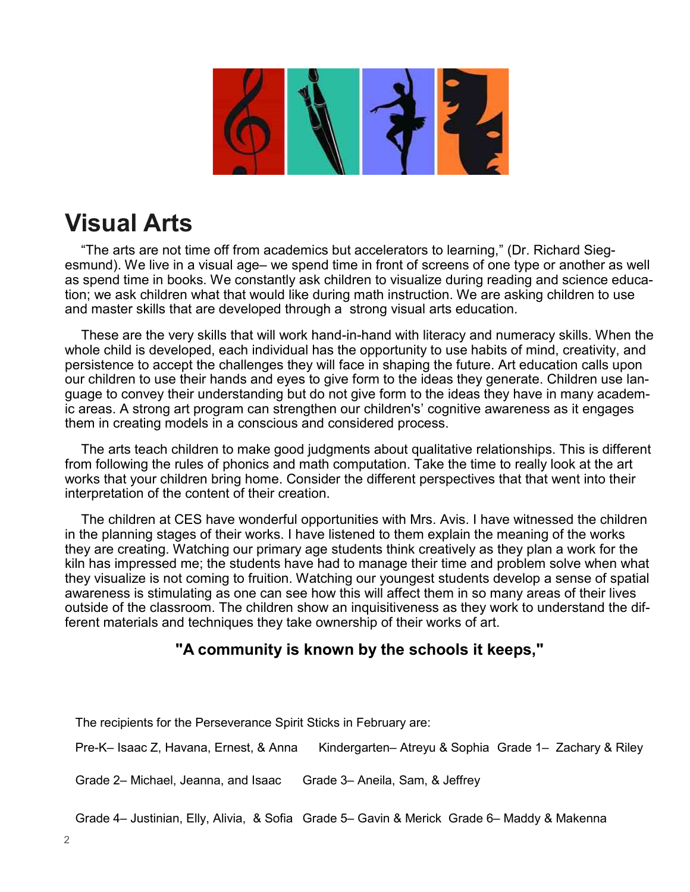### **Visual Arts**

"The arts are not time off from academics but accelerators to learning," (Dr. Richard Siegesmund). We live in a visual age– we spend time in front of screens of one type or another as well as spend time in books. We constantly ask children to visualize during reading and science education; we ask children what that would like during math instruction. We are asking children to use and master skills that are developed through a strong visual arts education.

These are the very skills that will work hand-in-hand with literacy and numeracy skills. When the whole child is developed, each individual has the opportunity to use habits of mind, creativity, and persistence to accept the challenges they will face in shaping the future. Art education calls upon our children to use their hands and eyes to give form to the ideas they generate. Children use language to convey their understanding but do not give form to the ideas they have in many academic areas. A strong art program can strengthen our children's' cognitive awareness as it engages them in creating models in a conscious and considered process.

The arts teach children to make good judgments about qualitative relationships. This is different from following the rules of phonics and math computation. Take the time to really look at the art works that your children bring home. Consider the different perspectives that that went into their interpretation of the content of their creation.

The children at CES have wonderful opportunities with Mrs. Avis. I have witnessed the children in the planning stages of their works. I have listened to them explain the meaning of the works they are creating. Watching our primary age students think creatively as they plan a work for the kiln has impressed me; the students have had to manage their time and problem solve when what they visualize is not coming to fruition. Watching our youngest students develop a sense of spatial awareness is stimulating as one can see how this will affect them in so many areas of their lives outside of the classroom. The children show an inquisitiveness as they work to understand the different materials and techniques they take ownership of their works of art.

#### **"A community is known by the schools it keeps,"**

The recipients for the Perseverance Spirit Sticks in February are:

Pre-K– Isaac Z, Havana, Ernest, & Anna Kindergarten– Atreyu & Sophia Grade 1– Zachary & Riley

Grade 2– Michael, Jeanna, and Isaac Grade 3– Aneila, Sam, & Jeffrey

Grade 4– Justinian, Elly, Alivia, & Sofia Grade 5– Gavin & Merick Grade 6– Maddy & Makenna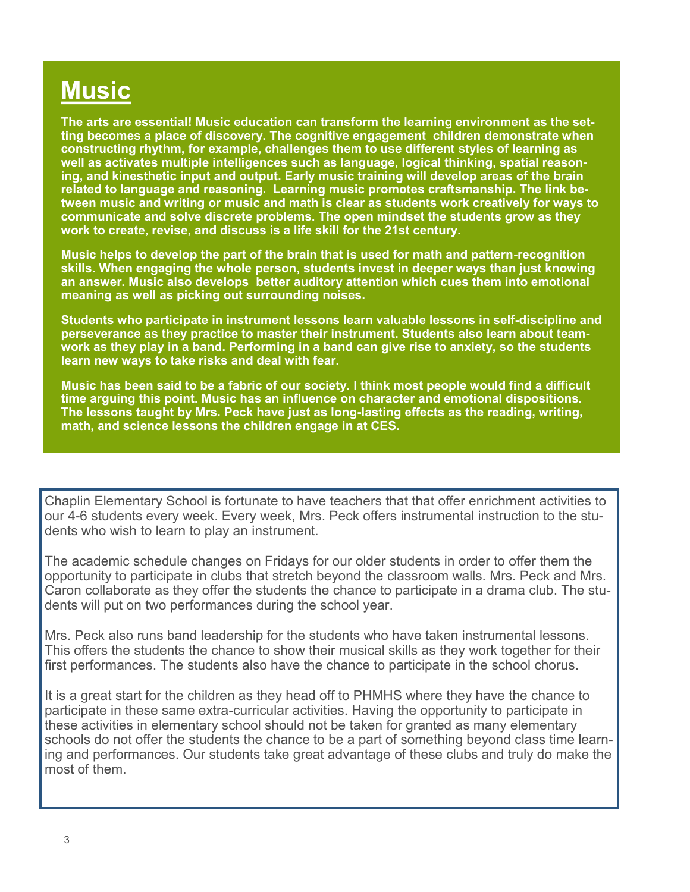## **Music**

**The arts are essential! Music education can transform the learning environment as the setting becomes a place of discovery. The cognitive engagement children demonstrate when constructing rhythm, for example, challenges them to use different styles of learning as well as activates multiple intelligences such as language, logical thinking, spatial reasoning, and kinesthetic input and output. Early music training will develop areas of the brain related to language and reasoning. Learning music promotes craftsmanship. The link between music and writing or music and math is clear as students work creatively for ways to communicate and solve discrete problems. The open mindset the students grow as they work to create, revise, and discuss is a life skill for the 21st century.** 

**Music helps to develop the part of the brain that is used for math and pattern-recognition skills. When engaging the whole person, students invest in deeper ways than just knowing an answer. Music also develops better auditory attention which cues them into emotional meaning as well as picking out surrounding noises.** 

**Students who participate in instrument lessons learn valuable lessons in self-discipline and perseverance as they practice to master their instrument. Students also learn about teamwork as they play in a band. Performing in a band can give rise to anxiety, so the students learn new ways to take risks and deal with fear.**

**Music has been said to be a fabric of our society. I think most people would find a difficult time arguing this point. Music has an influence on character and emotional dispositions. The lessons taught by Mrs. Peck have just as long-lasting effects as the reading, writing, math, and science lessons the children engage in at CES.**

Chaplin Elementary School is fortunate to have teachers that that offer enrichment activities to our 4-6 students every week. Every week, Mrs. Peck offers instrumental instruction to the students who wish to learn to play an instrument.

The academic schedule changes on Fridays for our older students in order to offer them the opportunity to participate in clubs that stretch beyond the classroom walls. Mrs. Peck and Mrs. Caron collaborate as they offer the students the chance to participate in a drama club. The students will put on two performances during the school year.

Mrs. Peck also runs band leadership for the students who have taken instrumental lessons. This offers the students the chance to show their musical skills as they work together for their first performances. The students also have the chance to participate in the school chorus.

It is a great start for the children as they head off to PHMHS where they have the chance to participate in these same extra-curricular activities. Having the opportunity to participate in these activities in elementary school should not be taken for granted as many elementary schools do not offer the students the chance to be a part of something beyond class time learning and performances. Our students take great advantage of these clubs and truly do make the most of them.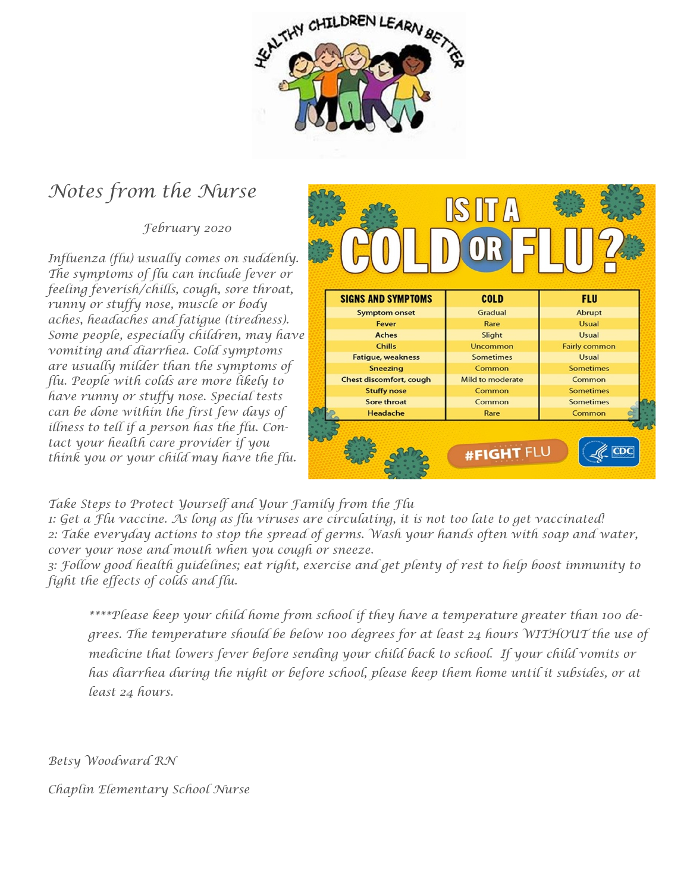

### *Notes from the Nurse*

 *February 2020*

*Influenza (flu) usually comes on suddenly. The symptoms of flu can include fever or feeling feverish/chills, cough, sore throat, runny or stuffy nose, muscle or body aches, headaches and fatigue (tiredness). Some people, especially children, may have vomiting and diarrhea. Cold symptoms are usually milder than the symptoms of flu. People with colds are more likely to have runny or stuffy nose. Special tests can be done within the first few days of illness to tell if a person has the flu. Contact your health care provider if you think you or your child may have the flu.*



*Take Steps to Protect Yourself and Your Family from the Flu*

*1: Get a Flu vaccine. As long as flu viruses are circulating, it is not too late to get vaccinated! 2: Take everyday actions to stop the spread of germs. Wash your hands often with soap and water, cover your nose and mouth when you cough or sneeze.*

*3: Follow good health guidelines; eat right, exercise and get plenty of rest to help boost immunity to fight the effects of colds and flu.*

*\*\*\*\*Please keep your child home from school if they have a temperature greater than 100 degrees. The temperature should be below 100 degrees for at least 24 hours WITHOUT the use of medicine that lowers fever before sending your child back to school. If your child vomits or has diarrhea during the night or before school, please keep them home until it subsides, or at least 24 hours.*

*Betsy Woodward RN* 

*Chaplin Elementary School Nurse*